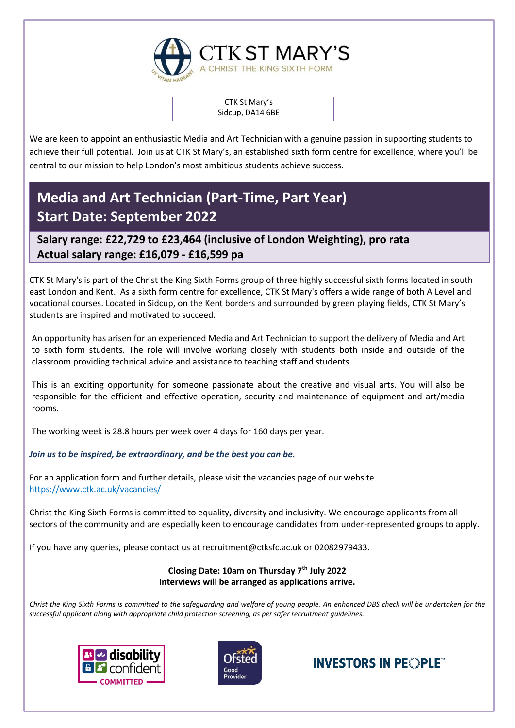

CTK St Mary's Sidcup, DA14 6BE

We are keen to appoint an enthusiastic Media and Art Technician with a genuine passion in supporting students to achieve their full potential. Join us at CTK St Mary's, an established sixth form centre for excellence, where you'll be central to our mission to help London's most ambitious students achieve success.

# **Media and Art Technician (Part-Time, Part Year) Start Date: September 2022**

**Salary range: £22,729 to £23,464 (inclusive of London Weighting), pro rata Actual salary range: £16,079 - £16,599 pa**

CTK St Mary's is part of the Christ the King Sixth Forms group of three highly successful sixth forms located in south east London and Kent. As a sixth form centre for excellence, CTK St Mary's offers a wide range of both A Level and vocational courses. Located in Sidcup, on the Kent borders and surrounded by green playing fields, CTK St Mary's students are inspired and motivated to succeed.

An opportunity has arisen for an experienced Media and Art Technician to support the delivery of Media and Art to sixth form students. The role will involve working closely with students both inside and outside of the classroom providing technical advice and assistance to teaching staff and students.

This is an exciting opportunity for someone passionate about the creative and visual arts. You will also be responsible for the efficient and effective operation, security and maintenance of equipment and art/media rooms.

The working week is 28.8 hours per week over 4 days for 160 days per year.

*Join us to be inspired, be extraordinary, and be the best you can be.*

For an application form and further details, please visit the vacancies page of our website <https://www.ctk.ac.uk/vacancies/>

Christ the King Sixth Forms is committed to equality, diversity and inclusivity. We encourage applicants from all sectors of the community and are especially keen to encourage candidates from under-represented groups to apply.

If you have any queries, please contact us at recruitment@ctksfc.ac.uk or 02082979433.

### **Closing Date: 10am on Thursday 7th July 2022 Interviews will be arranged as applications arrive.**

*Christ the King Sixth Forms is committed to the safeguarding and welfare of young people. An enhanced DBS check will be undertaken for the successful applicant along with appropriate child protection screening, as per safer recruitment guidelines.*





## **INVESTORS IN PEOPLE**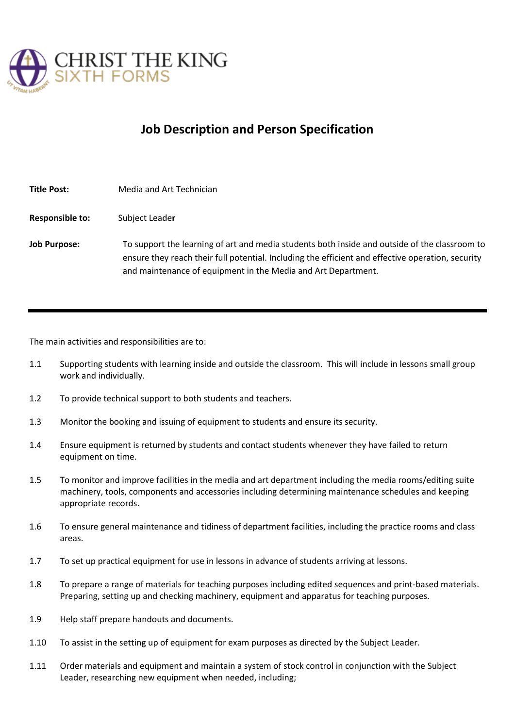

### **Job Description and Person Specification**

| <b>Title Post:</b>  | Media and Art Technician                                                                                                                                                                                                                                            |
|---------------------|---------------------------------------------------------------------------------------------------------------------------------------------------------------------------------------------------------------------------------------------------------------------|
| Responsible to:     | Subject Leader                                                                                                                                                                                                                                                      |
| <b>Job Purpose:</b> | To support the learning of art and media students both inside and outside of the classroom to<br>ensure they reach their full potential. Including the efficient and effective operation, security<br>and maintenance of equipment in the Media and Art Department. |

The main activities and responsibilities are to:

- 1.1 Supporting students with learning inside and outside the classroom. This will include in lessons small group work and individually.
- 1.2 To provide technical support to both students and teachers.
- 1.3 Monitor the booking and issuing of equipment to students and ensure its security.
- 1.4 Ensure equipment is returned by students and contact students whenever they have failed to return equipment on time.
- 1.5 To monitor and improve facilities in the media and art department including the media rooms/editing suite machinery, tools, components and accessories including determining maintenance schedules and keeping appropriate records.
- 1.6 To ensure general maintenance and tidiness of department facilities, including the practice rooms and class areas.
- 1.7 To set up practical equipment for use in lessons in advance of students arriving at lessons.
- 1.8 To prepare a range of materials for teaching purposes including edited sequences and print-based materials. Preparing, setting up and checking machinery, equipment and apparatus for teaching purposes.
- 1.9 Help staff prepare handouts and documents.
- 1.10 To assist in the setting up of equipment for exam purposes as directed by the Subject Leader.
- 1.11 Order materials and equipment and maintain a system of stock control in conjunction with the Subject Leader, researching new equipment when needed, including;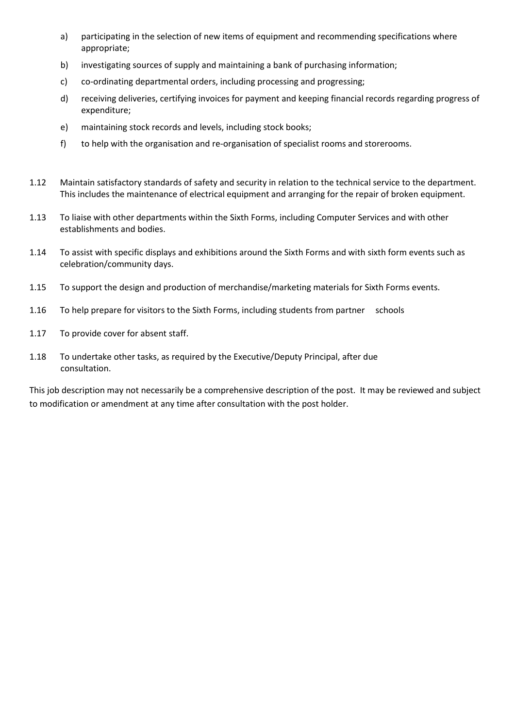- a) participating in the selection of new items of equipment and recommending specifications where appropriate;
- b) investigating sources of supply and maintaining a bank of purchasing information;
- c) co-ordinating departmental orders, including processing and progressing;
- d) receiving deliveries, certifying invoices for payment and keeping financial records regarding progress of expenditure;
- e) maintaining stock records and levels, including stock books;
- f) to help with the organisation and re-organisation of specialist rooms and storerooms.
- 1.12 Maintain satisfactory standards of safety and security in relation to the technical service to the department. This includes the maintenance of electrical equipment and arranging for the repair of broken equipment.
- 1.13 To liaise with other departments within the Sixth Forms, including Computer Services and with other establishments and bodies.
- 1.14 To assist with specific displays and exhibitions around the Sixth Forms and with sixth form events such as celebration/community days.
- 1.15 To support the design and production of merchandise/marketing materials for Sixth Forms events.
- 1.16 To help prepare for visitors to the Sixth Forms, including students from partner schools
- 1.17 To provide cover for absent staff.
- 1.18 To undertake other tasks, as required by the Executive/Deputy Principal, after due consultation.

This job description may not necessarily be a comprehensive description of the post. It may be reviewed and subject to modification or amendment at any time after consultation with the post holder.